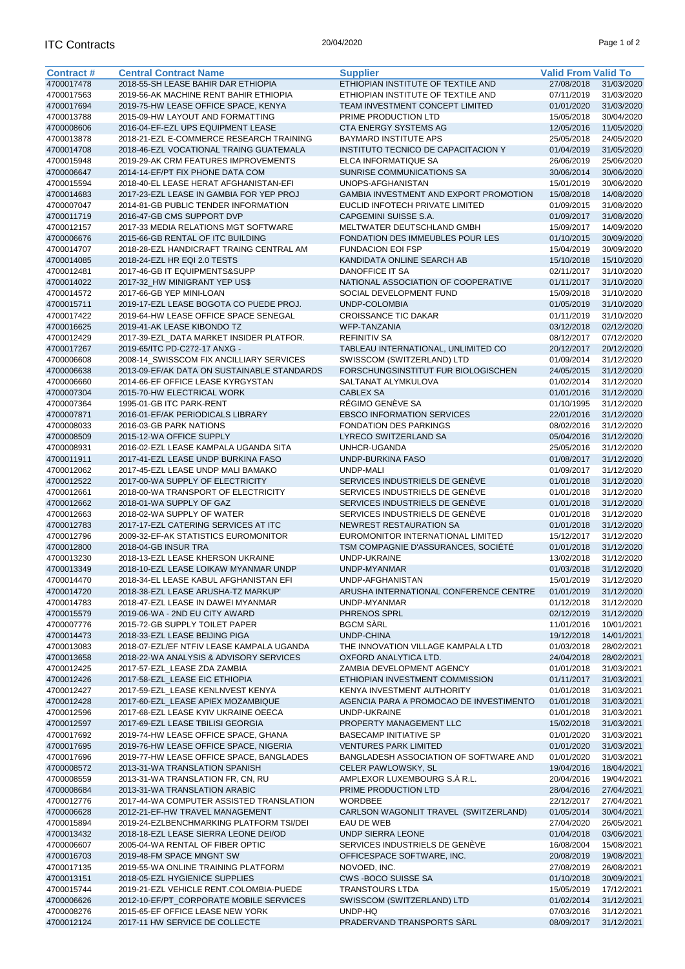| <b>Contract#</b> | <b>Central Contract Name</b>                | <b>Supplier</b>                         | <b>Valid From Valid To</b> |            |
|------------------|---------------------------------------------|-----------------------------------------|----------------------------|------------|
| 4700017478       | 2018-55-SH LEASE BAHIR DAR ETHIOPIA         | ETHIOPIAN INSTITUTE OF TEXTILE AND      | 27/08/2018                 | 31/03/2020 |
| 4700017563       | 2019-56-AK MACHINE RENT BAHIR ETHIOPIA      | ETHIOPIAN INSTITUTE OF TEXTILE AND      | 07/11/2019                 | 31/03/2020 |
| 4700017694       | 2019-75-HW LEASE OFFICE SPACE, KENYA        | TEAM INVESTMENT CONCEPT LIMITED         | 01/01/2020                 | 31/03/2020 |
| 4700013788       | 2015-09-HW LAYOUT AND FORMATTING            | PRIME PRODUCTION LTD                    | 15/05/2018                 | 30/04/2020 |
|                  |                                             |                                         |                            |            |
| 4700008606       | 2016-04-EF-EZL UPS EQUIPMENT LEASE          | CTA ENERGY SYSTEMS AG                   | 12/05/2016                 | 11/05/2020 |
| 4700013878       | 2018-21-EZL E-COMMERCE RESEARCH TRAINING    | <b>BAYMARD INSTITUTE APS</b>            | 25/05/2018                 | 24/05/2020 |
| 4700014708       | 2018-46-EZL VOCATIONAL TRAING GUATEMALA     | INSTITUTO TECNICO DE CAPACITACION Y     | 01/04/2019                 | 31/05/2020 |
| 4700015948       | 2019-29-AK CRM FEATURES IMPROVEMENTS        | <b>ELCA INFORMATIQUE SA</b>             | 26/06/2019                 | 25/06/2020 |
| 4700006647       | 2014-14-EF/PT FIX PHONE DATA COM            | SUNRISE COMMUNICATIONS SA               | 30/06/2014                 | 30/06/2020 |
| 4700015594       | 2018-40-EL LEASE HERAT AFGHANISTAN-EFI      | UNOPS-AFGHANISTAN                       | 15/01/2019                 | 30/06/2020 |
| 4700014683       | 2017-23-EZL LEASE IN GAMBIA FOR YEP PROJ    | GAMBIA INVESTMENT AND EXPORT PROMOTION  | 15/08/2018                 | 14/08/2020 |
| 4700007047       | 2014-81-GB PUBLIC TENDER INFORMATION        | EUCLID INFOTECH PRIVATE LIMITED         | 01/09/2015                 | 31/08/2020 |
| 4700011719       | 2016-47-GB CMS SUPPORT DVP                  | CAPGEMINI SUISSE S.A.                   | 01/09/2017                 | 31/08/2020 |
| 4700012157       | 2017-33 MEDIA RELATIONS MGT SOFTWARE        | MELTWATER DEUTSCHLAND GMBH              | 15/09/2017                 | 14/09/2020 |
| 4700006676       | 2015-66-GB RENTAL OF ITC BUILDING           | FONDATION DES IMMEUBLES POUR LES        | 01/10/2015                 | 30/09/2020 |
| 4700014707       | 2018-28-EZL HANDICRAFT TRAING CENTRAL AM    | <b>FUNDACION EOI FSP</b>                | 15/04/2019                 | 30/09/2020 |
| 4700014085       | 2018-24-EZL HR EQI 2.0 TESTS                | KANDIDATA ONLINE SEARCH AB              | 15/10/2018                 | 15/10/2020 |
|                  | 2017-46-GB IT EQUIPMENTS&SUPP               | <b>DANOFFICE IT SA</b>                  | 02/11/2017                 |            |
| 4700012481       |                                             |                                         |                            | 31/10/2020 |
| 4700014022       | 2017-32 HW MINIGRANT YEP US\$               | NATIONAL ASSOCIATION OF COOPERATIVE     | 01/11/2017                 | 31/10/2020 |
| 4700014572       | 2017-66-GB YEP MINI-LOAN                    | SOCIAL DEVELOPMENT FUND                 | 15/09/2018                 | 31/10/2020 |
| 4700015711       | 2019-17-EZL LEASE BOGOTA CO PUEDE PROJ.     | UNDP-COLOMBIA                           | 01/05/2019                 | 31/10/2020 |
| 4700017422       | 2019-64-HW LEASE OFFICE SPACE SENEGAL       | <b>CROISSANCE TIC DAKAR</b>             | 01/11/2019                 | 31/10/2020 |
| 4700016625       | 2019-41-AK LEASE KIBONDO TZ                 | WFP-TANZANIA                            | 03/12/2018                 | 02/12/2020 |
| 4700012429       | 2017-39-EZL_DATA MARKET INSIDER PLATFOR.    | <b>REFINITIV SA</b>                     | 08/12/2017                 | 07/12/2020 |
| 4700017267       | 2019-65/ITC PD-C272-17 ANXG -               | TABLEAU INTERNATIONAL, UNLIMITED CO     | 20/12/2017                 | 20/12/2020 |
| 4700006608       | 2008-14_SWISSCOM FIX ANCILLIARY SERVICES    | SWISSCOM (SWITZERLAND) LTD              | 01/09/2014                 | 31/12/2020 |
| 4700006638       | 2013-09-EF/AK DATA ON SUSTAINABLE STANDARDS | FORSCHUNGSINSTITUT FUR BIOLOGISCHEN     | 24/05/2015                 | 31/12/2020 |
| 4700006660       | 2014-66-EF OFFICE LEASE KYRGYSTAN           | SALTANAT ALYMKULOVA                     | 01/02/2014                 | 31/12/2020 |
| 4700007304       | 2015-70-HW ELECTRICAL WORK                  | <b>CABLEX SA</b>                        | 01/01/2016                 | 31/12/2020 |
|                  |                                             |                                         |                            |            |
| 4700007364       | 1995-01-GB ITC PARK-RENT                    | RÉGIMO GENÈVE SA                        | 01/10/1995                 | 31/12/2020 |
| 4700007871       | 2016-01-EF/AK PERIODICALS LIBRARY           | <b>EBSCO INFORMATION SERVICES</b>       | 22/01/2016                 | 31/12/2020 |
| 4700008033       | 2016-03-GB PARK NATIONS                     | <b>FONDATION DES PARKINGS</b>           | 08/02/2016                 | 31/12/2020 |
| 4700008509       | 2015-12-WA OFFICE SUPPLY                    | LYRECO SWITZERLAND SA                   | 05/04/2016                 | 31/12/2020 |
| 4700008931       | 2016-02-EZL LEASE KAMPALA UGANDA SITA       | UNHCR-UGANDA                            | 25/05/2016                 | 31/12/2020 |
| 4700011911       | 2017-41-EZL LEASE UNDP BURKINA FASO         | UNDP-BURKINA FASO                       | 01/08/2017                 | 31/12/2020 |
| 4700012062       | 2017-45-EZL LEASE UNDP MALI BAMAKO          | <b>UNDP-MALI</b>                        | 01/09/2017                 | 31/12/2020 |
| 4700012522       | 2017-00-WA SUPPLY OF ELECTRICITY            | SERVICES INDUSTRIELS DE GENÈVE          | 01/01/2018                 | 31/12/2020 |
| 4700012661       | 2018-00-WA TRANSPORT OF ELECTRICITY         | SERVICES INDUSTRIELS DE GENÈVE          | 01/01/2018                 | 31/12/2020 |
| 4700012662       | 2018-01-WA SUPPLY OF GAZ                    | SERVICES INDUSTRIELS DE GENÈVE          | 01/01/2018                 | 31/12/2020 |
| 4700012663       | 2018-02-WA SUPPLY OF WATER                  | SERVICES INDUSTRIELS DE GENÈVE          | 01/01/2018                 | 31/12/2020 |
| 4700012783       | 2017-17-EZL CATERING SERVICES AT ITC        | NEWREST RESTAURATION SA                 | 01/01/2018                 | 31/12/2020 |
|                  |                                             |                                         |                            |            |
| 4700012796       | 2009-32-EF-AK STATISTICS EUROMONITOR        | EUROMONITOR INTERNATIONAL LIMITED       | 15/12/2017                 | 31/12/2020 |
| 4700012800       | 2018-04-GB INSUR TRA                        | TSM COMPAGNIE D'ASSURANCES, SOCIÉTÉ     | 01/01/2018                 | 31/12/2020 |
| 4700013230       | 2018-13-EZL LEASE KHERSON UKRAINE           | UNDP-UKRAINE                            | 13/02/2018                 | 31/12/2020 |
| 4700013349       | 2018-10-EZL LEASE LOIKAW MYANMAR UNDP       | UNDP-MYANMAR                            | 01/03/2018                 | 31/12/2020 |
| 4700014470       | 2018-34-EL LEASE KABUL AFGHANISTAN EFI      | UNDP-AFGHANISTAN                        | 15/01/2019                 | 31/12/2020 |
| 4700014720       | 2018-38-EZL LEASE ARUSHA-TZ MARKUP'         | ARUSHA INTERNATIONAL CONFERENCE CENTRE  | 01/01/2019                 | 31/12/2020 |
| 4700014783       | 2018-47-EZL LEASE IN DAWEI MYANMAR          | UNDP-MYANMAR                            | 01/12/2018                 | 31/12/2020 |
| 4700015579       | 2019-06-WA - 2ND EU CITY AWARD              | PHRENOS SPRL                            | 02/12/2019                 | 31/12/2020 |
| 4700007776       | 2015-72-GB SUPPLY TOILET PAPER              | <b>BGCM SÀRL</b>                        | 11/01/2016                 | 10/01/2021 |
| 4700014473       | 2018-33-EZL LEASE BEIJING PIGA              | <b>UNDP-CHINA</b>                       | 19/12/2018                 | 14/01/2021 |
| 4700013083       | 2018-07-EZL/EF NTFIV LEASE KAMPALA UGANDA   | THE INNOVATION VILLAGE KAMPALA LTD      | 01/03/2018                 | 28/02/2021 |
| 4700013658       | 2018-22-WA ANALYSIS & ADVISORY SERVICES     | OXFORD ANALYTICA LTD.                   | 24/04/2018                 | 28/02/2021 |
| 4700012425       | 2017-57-EZL LEASE ZDA ZAMBIA                | ZAMBIA DEVELOPMENT AGENCY               | 01/01/2018                 | 31/03/2021 |
|                  |                                             |                                         |                            |            |
| 4700012426       | 2017-58-EZL_LEASE EIC ETHIOPIA              | ETHIOPIAN INVESTMENT COMMISSION         | 01/11/2017                 | 31/03/2021 |
| 4700012427       | 2017-59-EZL_LEASE KENLNVEST KENYA           | KENYA INVESTMENT AUTHORITY              | 01/01/2018                 | 31/03/2021 |
| 4700012428       | 2017-60-EZL_LEASE APIEX MOZAMBIQUE          | AGENCIA PARA A PROMOCAO DE INVESTIMENTO | 01/01/2018                 | 31/03/2021 |
| 4700012596       | 2017-68-EZL LEASE KYIV UKRAINE OEECA        | UNDP-UKRAINE                            | 01/01/2018                 | 31/03/2021 |
| 4700012597       | 2017-69-EZL LEASE TBILISI GEORGIA           | PROPERTY MANAGEMENT LLC                 | 15/02/2018                 | 31/03/2021 |
| 4700017692       | 2019-74-HW LEASE OFFICE SPACE, GHANA        | <b>BASECAMP INITIATIVE SP</b>           | 01/01/2020                 | 31/03/2021 |
| 4700017695       | 2019-76-HW LEASE OFFICE SPACE, NIGERIA      | <b>VENTURES PARK LIMITED</b>            | 01/01/2020                 | 31/03/2021 |
| 4700017696       | 2019-77-HW LEASE OFFICE SPACE, BANGLADES    | BANGLADESH ASSOCIATION OF SOFTWARE AND  | 01/01/2020                 | 31/03/2021 |
| 4700008572       | 2013-31-WA TRANSLATION SPANISH              | CELER PAWLOWSKY, SL                     | 19/04/2016                 | 18/04/2021 |
| 4700008559       | 2013-31-WA TRANSLATION FR, CN, RU           | AMPLEXOR LUXEMBOURG S.À R.L.            | 20/04/2016                 | 19/04/2021 |
| 4700008684       | 2013-31-WA TRANSLATION ARABIC               | PRIME PRODUCTION LTD                    | 28/04/2016                 | 27/04/2021 |
|                  | 2017-44-WA COMPUTER ASSISTED TRANSLATION    | <b>WORDBEE</b>                          |                            |            |
| 4700012776       |                                             |                                         | 22/12/2017                 | 27/04/2021 |
| 4700006628       | 2012-21-EF-HW TRAVEL MANAGEMENT             | CARLSON WAGONLIT TRAVEL (SWITZERLAND)   | 01/05/2014                 | 30/04/2021 |
| 4700015894       | 2019-24-EZLBENCHMARKING PLATFORM TSI/DEI    | EAU DE WEB                              | 27/04/2020                 | 26/05/2021 |
| 4700013432       | 2018-18-EZL LEASE SIERRA LEONE DEI/OD       | <b>UNDP SIERRA LEONE</b>                | 01/04/2018                 | 03/06/2021 |
| 4700006607       | 2005-04-WA RENTAL OF FIBER OPTIC            | SERVICES INDUSTRIELS DE GENÈVE          | 16/08/2004                 | 15/08/2021 |
| 4700016703       | 2019-48-FM SPACE MNGNT SW                   | OFFICESPACE SOFTWARE, INC.              | 20/08/2019                 | 19/08/2021 |
| 4700017135       | 2019-55-WA ONLINE TRAINING PLATFORM         | NOVOED, INC.                            | 27/08/2019                 | 26/08/2021 |
| 4700013151       | 2018-05-EZL HYGIENICE SUPPLIES              | <b>CWS-BOCO SUISSE SA</b>               | 01/10/2018                 | 30/09/2021 |
| 4700015744       | 2019-21-EZL VEHICLE RENT.COLOMBIA-PUEDE     | <b>TRANSTOURS LTDA</b>                  | 15/05/2019                 | 17/12/2021 |
| 4700006626       | 2012-10-EF/PT CORPORATE MOBILE SERVICES     | SWISSCOM (SWITZERLAND) LTD              | 01/02/2014                 | 31/12/2021 |
| 4700008276       | 2015-65-EF OFFICE LEASE NEW YORK            | UNDP-HQ                                 | 07/03/2016                 | 31/12/2021 |
| 4700012124       | 2017-11 HW SERVICE DE COLLECTE              | PRADERVAND TRANSPORTS SARL              | 08/09/2017                 | 31/12/2021 |
|                  |                                             |                                         |                            |            |